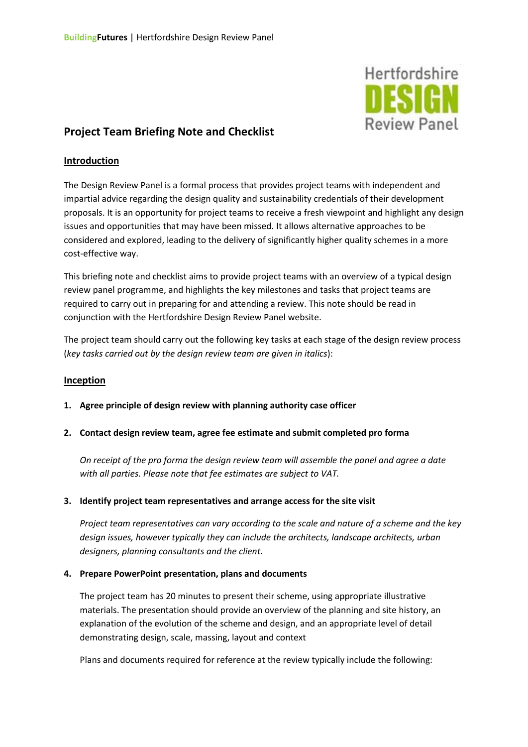

# **Project Team Briefing Note and Checklist**

# **Introduction**

The Design Review Panel is a formal process that provides project teams with independent and impartial advice regarding the design quality and sustainability credentials of their development proposals. It is an opportunity for project teams to receive a fresh viewpoint and highlight any design issues and opportunities that may have been missed. It allows alternative approaches to be considered and explored, leading to the delivery of significantly higher quality schemes in a more cost-effective way.

This briefing note and checklist aims to provide project teams with an overview of a typical design review panel programme, and highlights the key milestones and tasks that project teams are required to carry out in preparing for and attending a review. This note should be read in conjunction with the Hertfordshire Design Review Panel website.

The project team should carry out the following key tasks at each stage of the design review process (*key tasks carried out by the design review team are given in italics*):

# **Inception**

- **1. Agree principle of design review with planning authority case officer**
- **2. Contact design review team, agree fee estimate and submit completed pro forma**

*On receipt of the pro forma the design review team will assemble the panel and agree a date with all parties. Please note that fee estimates are subject to VAT.* 

# **3. Identify project team representatives and arrange access for the site visit**

*Project team representatives can vary according to the scale and nature of a scheme and the key design issues, however typically they can include the architects, landscape architects, urban designers, planning consultants and the client.*

## **4. Prepare PowerPoint presentation, plans and documents**

The project team has 20 minutes to present their scheme, using appropriate illustrative materials. The presentation should provide an overview of the planning and site history, an explanation of the evolution of the scheme and design, and an appropriate level of detail demonstrating design, scale, massing, layout and context

Plans and documents required for reference at the review typically include the following: